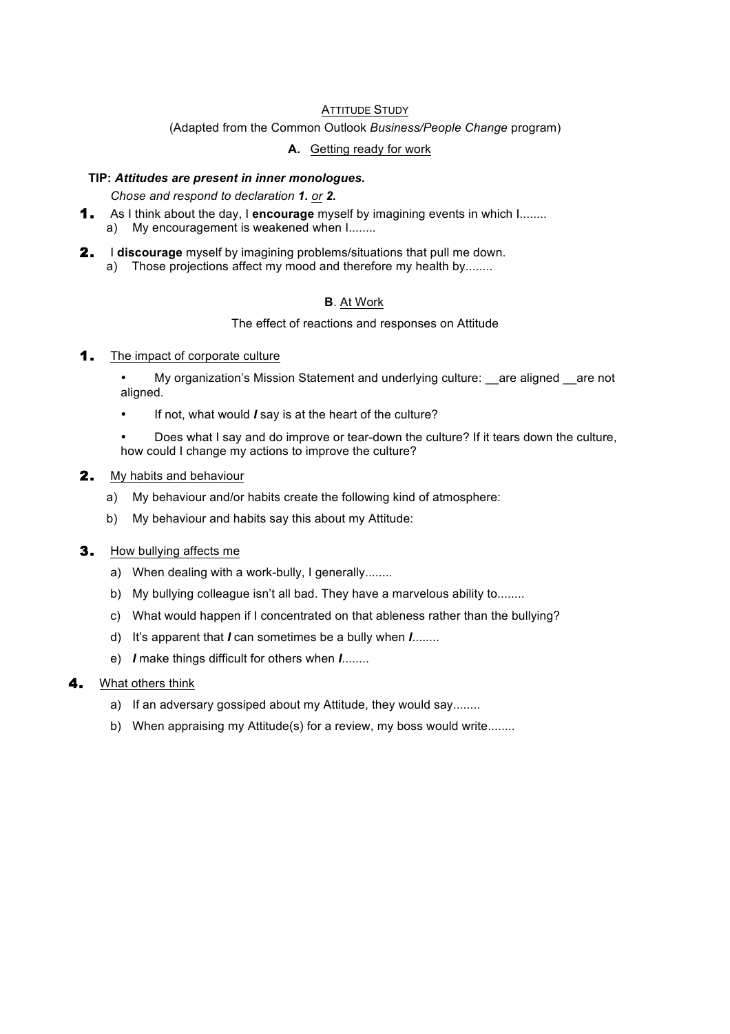### ATTITUDE STUDY

(Adapted from the Common Outlook *Business/People Change* program)

### **A.** Getting ready for work

### **TIP:** *Attitudes are present in inner monologues.*

*Chose and respond to declaration 1. or 2.*

- 1. As I think about the day, I **encourage** myself by imagining events in which I........ a) My encouragement is weakened when  $1$ ........
- 2. I **discourage** myself by imagining problems/situations that pull me down.
	- a) Those projections affect my mood and therefore my health by........

## **B**. At Work

#### The effect of reactions and responses on Attitude

#### **1.** The impact of corporate culture

• My organization's Mission Statement and underlying culture: are aligned are not aligned.

- If not, what would *I* say is at the heart of the culture?
- Does what I say and do improve or tear-down the culture? If it tears down the culture, how could I change my actions to improve the culture?

### 2. My habits and behaviour

- a) My behaviour and/or habits create the following kind of atmosphere:
- b) My behaviour and habits say this about my Attitude:
- **3.** How bullying affects me
	- a) When dealing with a work-bully, I generally........
	- b) My bullying colleague isn't all bad. They have a marvelous ability to........
	- c) What would happen if I concentrated on that ableness rather than the bullying?
	- d) It's apparent that *I* can sometimes be a bully when *I*........
	- e) *I* make things difficult for others when *I*........

### What others think

- a) If an adversary gossiped about my Attitude, they would say........
- b) When appraising my Attitude(s) for a review, my boss would write........